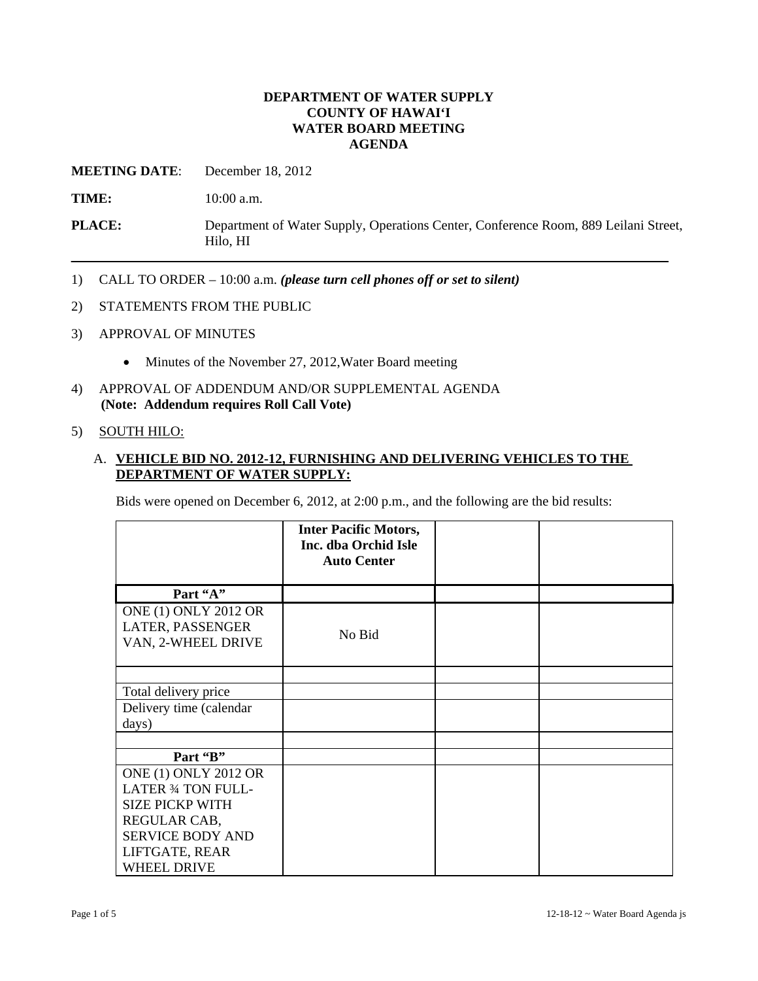## **DEPARTMENT OF WATER SUPPLY COUNTY OF HAWAI'I WATER BOARD MEETING AGENDA**

**MEETING DATE**: December 18, 2012

**TIME:** 10:00 a.m.

**PLACE:** Department of Water Supply, Operations Center, Conference Room, 889 Leilani Street, Hilo, HI

- 1) CALL TO ORDER 10:00 a.m. *(please turn cell phones off or set to silent)*
- 2) STATEMENTS FROM THE PUBLIC
- 3) APPROVAL OF MINUTES
	- Minutes of the November 27, 2012, Water Board meeting
- 4) APPROVAL OF ADDENDUM AND/OR SUPPLEMENTAL AGENDA **(Note: Addendum requires Roll Call Vote)**

#### 5) SOUTH HILO:

# A. **VEHICLE BID NO. 2012-12, FURNISHING AND DELIVERING VEHICLES TO THE DEPARTMENT OF WATER SUPPLY:**

Bids were opened on December 6, 2012, at 2:00 p.m., and the following are the bid results:

|                                                                       | <b>Inter Pacific Motors,</b><br>Inc. dba Orchid Isle<br><b>Auto Center</b> |  |
|-----------------------------------------------------------------------|----------------------------------------------------------------------------|--|
| Part "A"                                                              |                                                                            |  |
| <b>ONE (1) ONLY 2012 OR</b><br>LATER, PASSENGER<br>VAN, 2-WHEEL DRIVE | No Bid                                                                     |  |
|                                                                       |                                                                            |  |
| Total delivery price                                                  |                                                                            |  |
| Delivery time (calendar<br>days)                                      |                                                                            |  |
|                                                                       |                                                                            |  |
| Part "B"                                                              |                                                                            |  |
| <b>ONE (1) ONLY 2012 OR</b>                                           |                                                                            |  |
| <b>LATER 34 TON FULL-</b>                                             |                                                                            |  |
| <b>SIZE PICKP WITH</b>                                                |                                                                            |  |
| REGULAR CAB,                                                          |                                                                            |  |
| <b>SERVICE BODY AND</b>                                               |                                                                            |  |
| LIFTGATE, REAR                                                        |                                                                            |  |
| <b>WHEEL DRIVE</b>                                                    |                                                                            |  |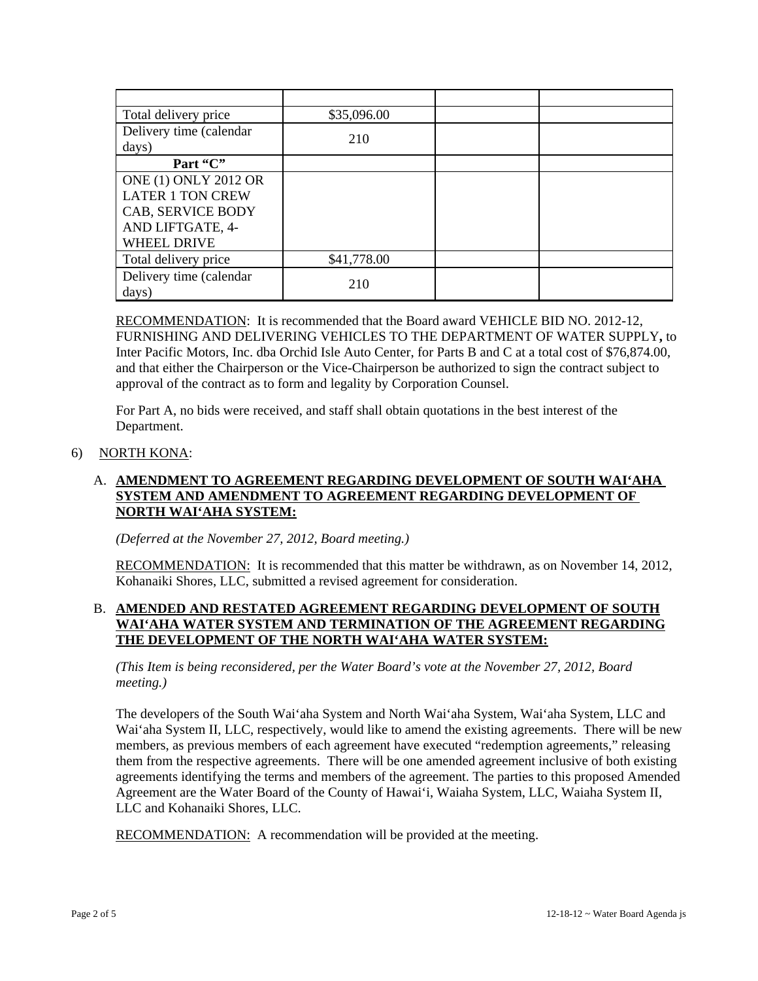| Total delivery price                                                                                           | \$35,096.00 |  |
|----------------------------------------------------------------------------------------------------------------|-------------|--|
| Delivery time (calendar<br>days)                                                                               | 210         |  |
| Part "C"                                                                                                       |             |  |
| <b>ONE (1) ONLY 2012 OR</b><br><b>LATER 1 TON CREW</b><br>CAB, SERVICE BODY<br>AND LIFTGATE, 4-<br>WHEEL DRIVE |             |  |
| Total delivery price                                                                                           | \$41,778.00 |  |
| Delivery time (calendar<br>days)                                                                               | 210         |  |

RECOMMENDATION: It is recommended that the Board award VEHICLE BID NO. 2012-12, FURNISHING AND DELIVERING VEHICLES TO THE DEPARTMENT OF WATER SUPPLY**,** to Inter Pacific Motors, Inc. dba Orchid Isle Auto Center, for Parts B and C at a total cost of \$76,874.00, and that either the Chairperson or the Vice-Chairperson be authorized to sign the contract subject to approval of the contract as to form and legality by Corporation Counsel.

For Part A, no bids were received, and staff shall obtain quotations in the best interest of the Department.

## 6) NORTH KONA:

# A. **AMENDMENT TO AGREEMENT REGARDING DEVELOPMENT OF SOUTH WAI'AHA SYSTEM AND AMENDMENT TO AGREEMENT REGARDING DEVELOPMENT OF NORTH WAI'AHA SYSTEM:**

*(Deferred at the November 27, 2012, Board meeting.)* 

RECOMMENDATION: It is recommended that this matter be withdrawn, as on November 14, 2012, Kohanaiki Shores, LLC, submitted a revised agreement for consideration.

# B. **AMENDED AND RESTATED AGREEMENT REGARDING DEVELOPMENT OF SOUTH WAI'AHA WATER SYSTEM AND TERMINATION OF THE AGREEMENT REGARDING THE DEVELOPMENT OF THE NORTH WAI'AHA WATER SYSTEM:**

*(This Item is being reconsidered, per the Water Board's vote at the November 27, 2012, Board meeting.)* 

The developers of the South Wai'aha System and North Wai'aha System, Wai'aha System, LLC and Wai'aha System II, LLC, respectively, would like to amend the existing agreements. There will be new members, as previous members of each agreement have executed "redemption agreements," releasing them from the respective agreements. There will be one amended agreement inclusive of both existing agreements identifying the terms and members of the agreement. The parties to this proposed Amended Agreement are the Water Board of the County of Hawai'i, Waiaha System, LLC, Waiaha System II, LLC and Kohanaiki Shores, LLC.

RECOMMENDATION: A recommendation will be provided at the meeting.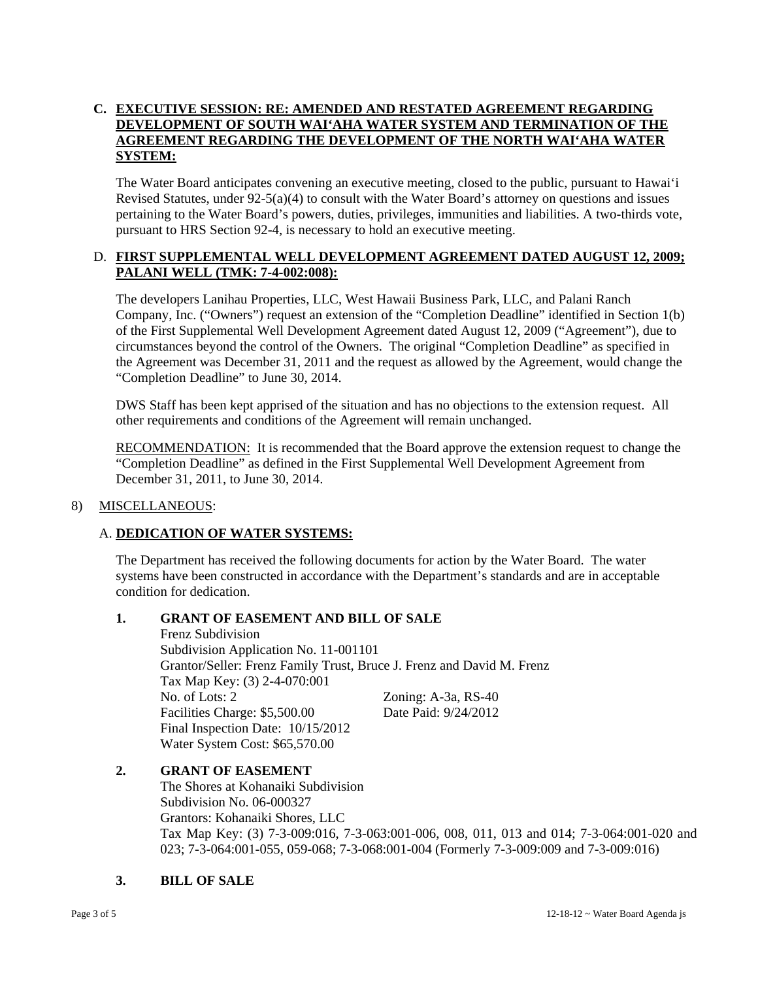# **C. EXECUTIVE SESSION: RE: AMENDED AND RESTATED AGREEMENT REGARDING DEVELOPMENT OF SOUTH WAI'AHA WATER SYSTEM AND TERMINATION OF THE AGREEMENT REGARDING THE DEVELOPMENT OF THE NORTH WAI'AHA WATER SYSTEM:**

The Water Board anticipates convening an executive meeting, closed to the public, pursuant to Hawai'i Revised Statutes, under 92-5(a)(4) to consult with the Water Board's attorney on questions and issues pertaining to the Water Board's powers, duties, privileges, immunities and liabilities. A two-thirds vote, pursuant to HRS Section 92-4, is necessary to hold an executive meeting.

# D. **FIRST SUPPLEMENTAL WELL DEVELOPMENT AGREEMENT DATED AUGUST 12, 2009; PALANI WELL (TMK: 7-4-002:008):**

The developers Lanihau Properties, LLC, West Hawaii Business Park, LLC, and Palani Ranch Company, Inc. ("Owners") request an extension of the "Completion Deadline" identified in Section 1(b) of the First Supplemental Well Development Agreement dated August 12, 2009 ("Agreement"), due to circumstances beyond the control of the Owners. The original "Completion Deadline" as specified in the Agreement was December 31, 2011 and the request as allowed by the Agreement, would change the "Completion Deadline" to June 30, 2014.

DWS Staff has been kept apprised of the situation and has no objections to the extension request. All other requirements and conditions of the Agreement will remain unchanged.

**RECOMMENDATION:** It is recommended that the Board approve the extension request to change the "Completion Deadline" as defined in the First Supplemental Well Development Agreement from December 31, 2011, to June 30, 2014.

## 8) MISCELLANEOUS:

## A. **DEDICATION OF WATER SYSTEMS:**

The Department has received the following documents for action by the Water Board. The water systems have been constructed in accordance with the Department's standards and are in acceptable condition for dedication.

## **1. GRANT OF EASEMENT AND BILL OF SALE**

 Frenz Subdivision Subdivision Application No. 11-001101 Grantor/Seller: Frenz Family Trust, Bruce J. Frenz and David M. Frenz Tax Map Key: (3) 2-4-070:001 No. of Lots: 2 Zoning: A-3a, RS-40 Facilities Charge: \$5,500.00 Date Paid: 9/24/2012 Final Inspection Date: 10/15/2012 Water System Cost: \$65,570.00

## **2. GRANT OF EASEMENT**

 The Shores at Kohanaiki Subdivision Subdivision No. 06-000327 Grantors: Kohanaiki Shores, LLC Tax Map Key: (3) 7-3-009:016, 7-3-063:001-006, 008, 011, 013 and 014; 7-3-064:001-020 and 023; 7-3-064:001-055, 059-068; 7-3-068:001-004 (Formerly 7-3-009:009 and 7-3-009:016)

## **3. BILL OF SALE**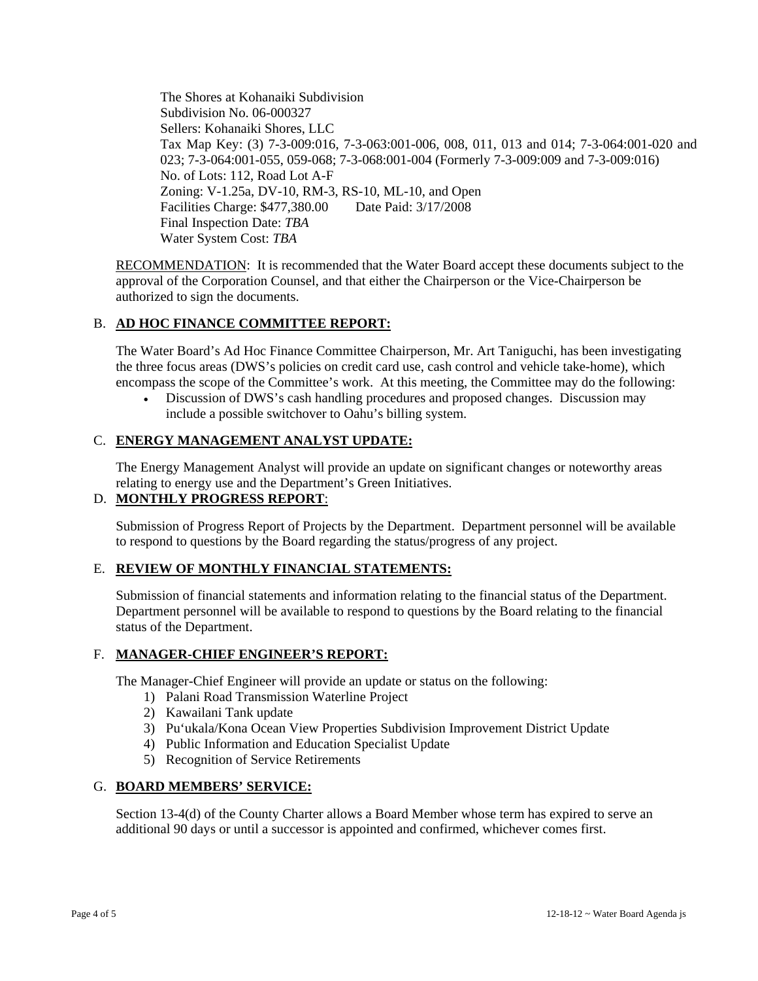The Shores at Kohanaiki Subdivision Subdivision No. 06-000327 Sellers: Kohanaiki Shores, LLC Tax Map Key: (3) 7-3-009:016, 7-3-063:001-006, 008, 011, 013 and 014; 7-3-064:001-020 and 023; 7-3-064:001-055, 059-068; 7-3-068:001-004 (Formerly 7-3-009:009 and 7-3-009:016) No. of Lots: 112, Road Lot A-F Zoning: V-1.25a, DV-10, RM-3, RS-10, ML-10, and Open Facilities Charge: \$477,380.00 Date Paid: 3/17/2008 Final Inspection Date: *TBA* Water System Cost: *TBA*

RECOMMENDATION: It is recommended that the Water Board accept these documents subject to the approval of the Corporation Counsel, and that either the Chairperson or the Vice-Chairperson be authorized to sign the documents.

# B. **AD HOC FINANCE COMMITTEE REPORT:**

The Water Board's Ad Hoc Finance Committee Chairperson, Mr. Art Taniguchi, has been investigating the three focus areas (DWS's policies on credit card use, cash control and vehicle take-home), which encompass the scope of the Committee's work. At this meeting, the Committee may do the following:

 Discussion of DWS's cash handling procedures and proposed changes. Discussion may include a possible switchover to Oahu's billing system.

## C. **ENERGY MANAGEMENT ANALYST UPDATE:**

The Energy Management Analyst will provide an update on significant changes or noteworthy areas relating to energy use and the Department's Green Initiatives.

## D. **MONTHLY PROGRESS REPORT**:

Submission of Progress Report of Projects by the Department. Department personnel will be available to respond to questions by the Board regarding the status/progress of any project.

## E. **REVIEW OF MONTHLY FINANCIAL STATEMENTS:**

Submission of financial statements and information relating to the financial status of the Department. Department personnel will be available to respond to questions by the Board relating to the financial status of the Department.

## F. **MANAGER-CHIEF ENGINEER'S REPORT:**

The Manager-Chief Engineer will provide an update or status on the following:

- 1) Palani Road Transmission Waterline Project
- 2) Kawailani Tank update
- 3) Pu'ukala/Kona Ocean View Properties Subdivision Improvement District Update
- 4) Public Information and Education Specialist Update
- 5) Recognition of Service Retirements

## G. **BOARD MEMBERS' SERVICE:**

Section 13-4(d) of the County Charter allows a Board Member whose term has expired to serve an additional 90 days or until a successor is appointed and confirmed, whichever comes first.